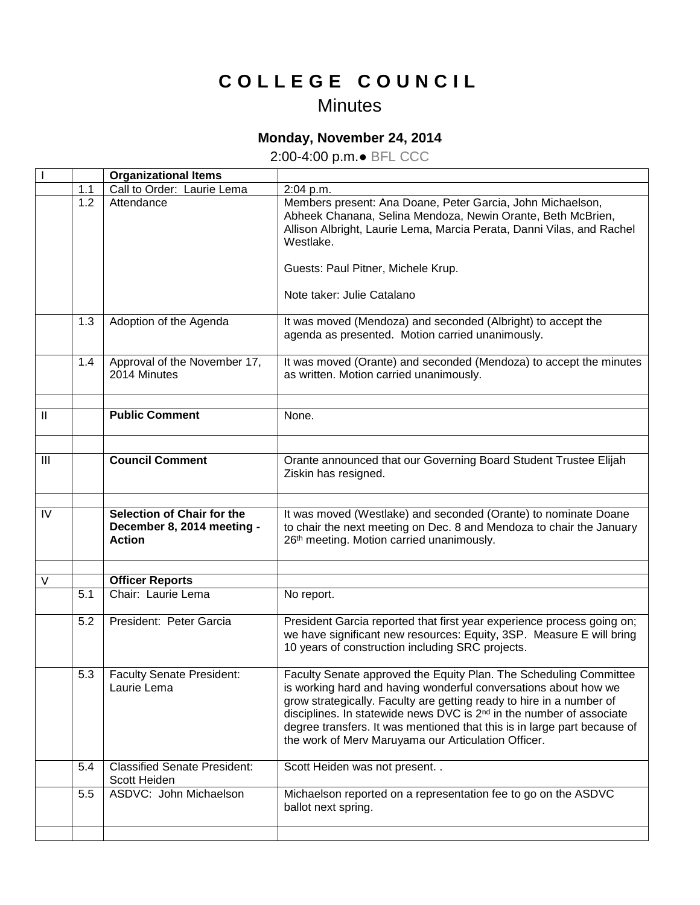## **C O L L E G E C O U N C I L**

## **Minutes**

## **Monday, November 24, 2014**

2:00-4:00 p.m.● BFL CCC

|                |     | <b>Organizational Items</b>                                               |                                                                                                                                                                                                                                                                                                                                                                                                                                     |
|----------------|-----|---------------------------------------------------------------------------|-------------------------------------------------------------------------------------------------------------------------------------------------------------------------------------------------------------------------------------------------------------------------------------------------------------------------------------------------------------------------------------------------------------------------------------|
|                | 1.1 | Call to Order: Laurie Lema                                                | 2:04 p.m.                                                                                                                                                                                                                                                                                                                                                                                                                           |
|                | 1.2 | Attendance                                                                | Members present: Ana Doane, Peter Garcia, John Michaelson,<br>Abheek Chanana, Selina Mendoza, Newin Orante, Beth McBrien,<br>Allison Albright, Laurie Lema, Marcia Perata, Danni Vilas, and Rachel<br>Westlake.                                                                                                                                                                                                                     |
|                |     |                                                                           | Guests: Paul Pitner, Michele Krup.                                                                                                                                                                                                                                                                                                                                                                                                  |
|                |     |                                                                           | Note taker: Julie Catalano                                                                                                                                                                                                                                                                                                                                                                                                          |
|                | 1.3 | Adoption of the Agenda                                                    | It was moved (Mendoza) and seconded (Albright) to accept the<br>agenda as presented. Motion carried unanimously.                                                                                                                                                                                                                                                                                                                    |
|                | 1.4 | Approval of the November 17,<br>2014 Minutes                              | It was moved (Orante) and seconded (Mendoza) to accept the minutes<br>as written. Motion carried unanimously.                                                                                                                                                                                                                                                                                                                       |
| $\mathbf{II}$  |     | <b>Public Comment</b>                                                     | None.                                                                                                                                                                                                                                                                                                                                                                                                                               |
|                |     |                                                                           |                                                                                                                                                                                                                                                                                                                                                                                                                                     |
| $\mathbf{III}$ |     | <b>Council Comment</b>                                                    | Orante announced that our Governing Board Student Trustee Elijah<br>Ziskin has resigned.                                                                                                                                                                                                                                                                                                                                            |
|                |     |                                                                           |                                                                                                                                                                                                                                                                                                                                                                                                                                     |
|                |     |                                                                           |                                                                                                                                                                                                                                                                                                                                                                                                                                     |
| IV             |     | Selection of Chair for the<br>December 8, 2014 meeting -<br><b>Action</b> | It was moved (Westlake) and seconded (Orante) to nominate Doane<br>to chair the next meeting on Dec. 8 and Mendoza to chair the January<br>26th meeting. Motion carried unanimously.                                                                                                                                                                                                                                                |
|                |     |                                                                           |                                                                                                                                                                                                                                                                                                                                                                                                                                     |
| $\vee$         |     | <b>Officer Reports</b>                                                    |                                                                                                                                                                                                                                                                                                                                                                                                                                     |
|                | 5.1 | Chair: Laurie Lema                                                        | No report.                                                                                                                                                                                                                                                                                                                                                                                                                          |
|                | 5.2 | President: Peter Garcia                                                   | President Garcia reported that first year experience process going on;<br>we have significant new resources: Equity, 3SP. Measure E will bring<br>10 years of construction including SRC projects.                                                                                                                                                                                                                                  |
|                | 5.3 | <b>Faculty Senate President:</b><br>Laurie Lema                           | Faculty Senate approved the Equity Plan. The Scheduling Committee<br>is working hard and having wonderful conversations about how we<br>grow strategically. Faculty are getting ready to hire in a number of<br>disciplines. In statewide news DVC is 2 <sup>nd</sup> in the number of associate<br>degree transfers. It was mentioned that this is in large part because of<br>the work of Merv Maruyama our Articulation Officer. |
|                | 5.4 | <b>Classified Senate President:</b><br>Scott Heiden                       | Scott Heiden was not present. .                                                                                                                                                                                                                                                                                                                                                                                                     |
|                | 5.5 | ASDVC: John Michaelson                                                    | Michaelson reported on a representation fee to go on the ASDVC<br>ballot next spring.                                                                                                                                                                                                                                                                                                                                               |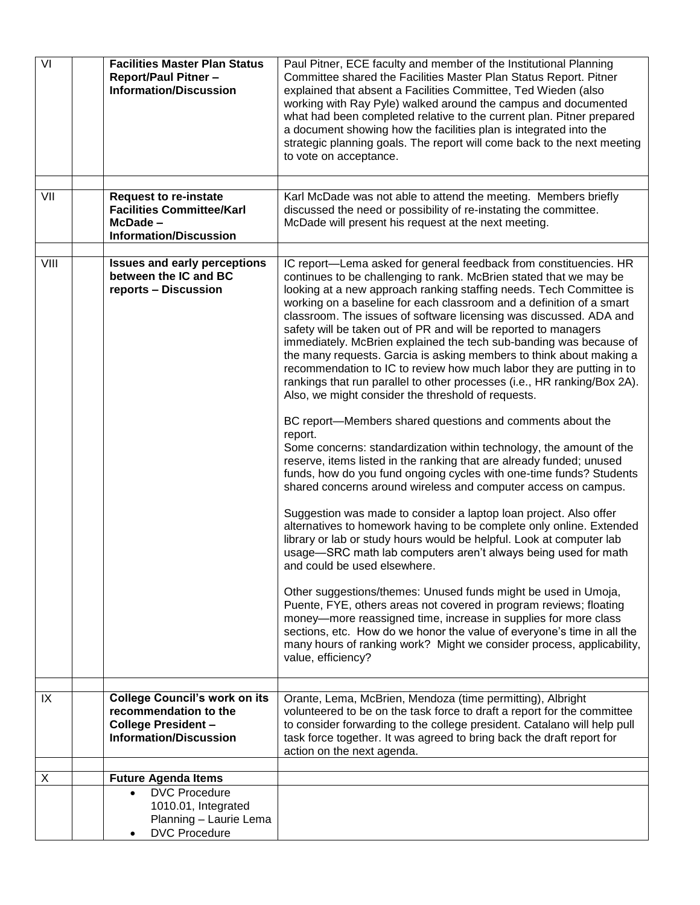| VI   | <b>Facilities Master Plan Status</b><br><b>Report/Paul Pitner -</b><br><b>Information/Discussion</b>                         | Paul Pitner, ECE faculty and member of the Institutional Planning<br>Committee shared the Facilities Master Plan Status Report. Pitner<br>explained that absent a Facilities Committee, Ted Wieden (also<br>working with Ray Pyle) walked around the campus and documented<br>what had been completed relative to the current plan. Pitner prepared<br>a document showing how the facilities plan is integrated into the<br>strategic planning goals. The report will come back to the next meeting<br>to vote on acceptance.                                                                                                                                                                                                                                                                                                                                                                                                                                                                                                                                                                                                                                                                                                                                                                                                                                                                                                                                                                                                                                                                                                                                                                                                                                                                                                                                     |
|------|------------------------------------------------------------------------------------------------------------------------------|-------------------------------------------------------------------------------------------------------------------------------------------------------------------------------------------------------------------------------------------------------------------------------------------------------------------------------------------------------------------------------------------------------------------------------------------------------------------------------------------------------------------------------------------------------------------------------------------------------------------------------------------------------------------------------------------------------------------------------------------------------------------------------------------------------------------------------------------------------------------------------------------------------------------------------------------------------------------------------------------------------------------------------------------------------------------------------------------------------------------------------------------------------------------------------------------------------------------------------------------------------------------------------------------------------------------------------------------------------------------------------------------------------------------------------------------------------------------------------------------------------------------------------------------------------------------------------------------------------------------------------------------------------------------------------------------------------------------------------------------------------------------------------------------------------------------------------------------------------------------|
|      |                                                                                                                              |                                                                                                                                                                                                                                                                                                                                                                                                                                                                                                                                                                                                                                                                                                                                                                                                                                                                                                                                                                                                                                                                                                                                                                                                                                                                                                                                                                                                                                                                                                                                                                                                                                                                                                                                                                                                                                                                   |
| VII  | <b>Request to re-instate</b><br><b>Facilities Committee/Karl</b><br>McDade-<br><b>Information/Discussion</b>                 | Karl McDade was not able to attend the meeting. Members briefly<br>discussed the need or possibility of re-instating the committee.<br>McDade will present his request at the next meeting.                                                                                                                                                                                                                                                                                                                                                                                                                                                                                                                                                                                                                                                                                                                                                                                                                                                                                                                                                                                                                                                                                                                                                                                                                                                                                                                                                                                                                                                                                                                                                                                                                                                                       |
|      |                                                                                                                              |                                                                                                                                                                                                                                                                                                                                                                                                                                                                                                                                                                                                                                                                                                                                                                                                                                                                                                                                                                                                                                                                                                                                                                                                                                                                                                                                                                                                                                                                                                                                                                                                                                                                                                                                                                                                                                                                   |
| VIII | <b>Issues and early perceptions</b><br>between the IC and BC<br>reports - Discussion                                         | IC report-Lema asked for general feedback from constituencies. HR<br>continues to be challenging to rank. McBrien stated that we may be<br>looking at a new approach ranking staffing needs. Tech Committee is<br>working on a baseline for each classroom and a definition of a smart<br>classroom. The issues of software licensing was discussed. ADA and<br>safety will be taken out of PR and will be reported to managers<br>immediately. McBrien explained the tech sub-banding was because of<br>the many requests. Garcia is asking members to think about making a<br>recommendation to IC to review how much labor they are putting in to<br>rankings that run parallel to other processes (i.e., HR ranking/Box 2A).<br>Also, we might consider the threshold of requests.<br>BC report-Members shared questions and comments about the<br>report.<br>Some concerns: standardization within technology, the amount of the<br>reserve, items listed in the ranking that are already funded; unused<br>funds, how do you fund ongoing cycles with one-time funds? Students<br>shared concerns around wireless and computer access on campus.<br>Suggestion was made to consider a laptop loan project. Also offer<br>alternatives to homework having to be complete only online. Extended<br>library or lab or study hours would be helpful. Look at computer lab<br>usage-SRC math lab computers aren't always being used for math<br>and could be used elsewhere.<br>Other suggestions/themes: Unused funds might be used in Umoja,<br>Puente, FYE, others areas not covered in program reviews; floating<br>money-more reassigned time, increase in supplies for more class<br>sections, etc. How do we honor the value of everyone's time in all the<br>many hours of ranking work? Might we consider process, applicability,<br>value, efficiency? |
| IX   | <b>College Council's work on its</b><br>recommendation to the<br><b>College President -</b><br><b>Information/Discussion</b> | Orante, Lema, McBrien, Mendoza (time permitting), Albright<br>volunteered to be on the task force to draft a report for the committee<br>to consider forwarding to the college president. Catalano will help pull<br>task force together. It was agreed to bring back the draft report for<br>action on the next agenda.                                                                                                                                                                                                                                                                                                                                                                                                                                                                                                                                                                                                                                                                                                                                                                                                                                                                                                                                                                                                                                                                                                                                                                                                                                                                                                                                                                                                                                                                                                                                          |
|      |                                                                                                                              |                                                                                                                                                                                                                                                                                                                                                                                                                                                                                                                                                                                                                                                                                                                                                                                                                                                                                                                                                                                                                                                                                                                                                                                                                                                                                                                                                                                                                                                                                                                                                                                                                                                                                                                                                                                                                                                                   |
| X    | <b>Future Agenda Items</b><br><b>DVC Procedure</b>                                                                           |                                                                                                                                                                                                                                                                                                                                                                                                                                                                                                                                                                                                                                                                                                                                                                                                                                                                                                                                                                                                                                                                                                                                                                                                                                                                                                                                                                                                                                                                                                                                                                                                                                                                                                                                                                                                                                                                   |
|      | 1010.01, Integrated<br>Planning - Laurie Lema<br><b>DVC Procedure</b>                                                        |                                                                                                                                                                                                                                                                                                                                                                                                                                                                                                                                                                                                                                                                                                                                                                                                                                                                                                                                                                                                                                                                                                                                                                                                                                                                                                                                                                                                                                                                                                                                                                                                                                                                                                                                                                                                                                                                   |